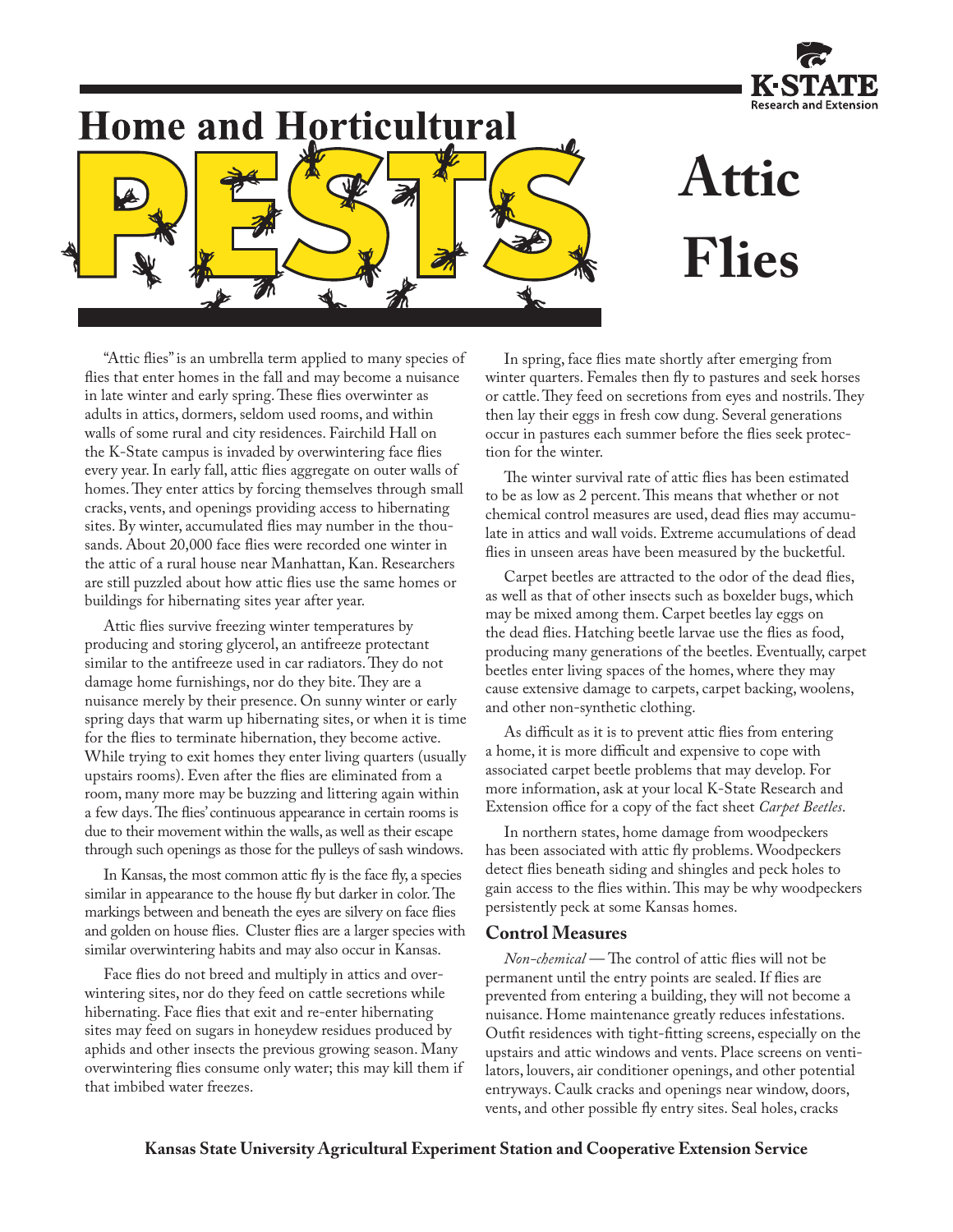

## **Home and Horticultural**



# **Attic Flies**

"Attic flies" is an umbrella term applied to many species of flies that enter homes in the fall and may become a nuisance in late winter and early spring. These flies overwinter as adults in attics, dormers, seldom used rooms, and within walls of some rural and city residences. Fairchild Hall on the K-State campus is invaded by overwintering face flies every year. In early fall, attic flies aggregate on outer walls of homes. They enter attics by forcing themselves through small cracks, vents, and openings providing access to hibernating sites. By winter, accumulated flies may number in the thousands. About 20,000 face flies were recorded one winter in the attic of a rural house near Manhattan, Kan. Researchers are still puzzled about how attic flies use the same homes or buildings for hibernating sites year after year.

Attic flies survive freezing winter temperatures by producing and storing glycerol, an antifreeze protectant similar to the antifreeze used in car radiators. They do not damage home furnishings, nor do they bite. They are a nuisance merely by their presence. On sunny winter or early spring days that warm up hibernating sites, or when it is time for the flies to terminate hibernation, they become active. While trying to exit homes they enter living quarters (usually upstairs rooms). Even after the flies are eliminated from a room, many more may be buzzing and littering again within a few days. The flies' continuous appearance in certain rooms is due to their movement within the walls, as well as their escape through such openings as those for the pulleys of sash windows.

In Kansas, the most common attic fly is the face fly, a species similar in appearance to the house fly but darker in color. The markings between and beneath the eyes are silvery on face flies and golden on house flies. Cluster flies are a larger species with similar overwintering habits and may also occur in Kansas.

Face flies do not breed and multiply in attics and overwintering sites, nor do they feed on cattle secretions while hibernating. Face flies that exit and re-enter hibernating sites may feed on sugars in honeydew residues produced by aphids and other insects the previous growing season. Many overwintering flies consume only water; this may kill them if that imbibed water freezes.

In spring, face flies mate shortly after emerging from winter quarters. Females then fly to pastures and seek horses or cattle. They feed on secretions from eyes and nostrils. They then lay their eggs in fresh cow dung. Several generations occur in pastures each summer before the flies seek protection for the winter.

The winter survival rate of attic flies has been estimated to be as low as 2 percent. This means that whether or not chemical control measures are used, dead flies may accumulate in attics and wall voids. Extreme accumulations of dead flies in unseen areas have been measured by the bucketful.

Carpet beetles are attracted to the odor of the dead flies, as well as that of other insects such as boxelder bugs, which may be mixed among them. Carpet beetles lay eggs on the dead flies. Hatching beetle larvae use the flies as food, producing many generations of the beetles. Eventually, carpet beetles enter living spaces of the homes, where they may cause extensive damage to carpets, carpet backing, woolens, and other non-synthetic clothing.

As difficult as it is to prevent attic flies from entering a home, it is more difficult and expensive to cope with associated carpet beetle problems that may develop. For more information, ask at your local K-State Research and Extension office for a copy of the fact sheet *Carpet Beetles*.

In northern states, home damage from woodpeckers has been associated with attic fly problems. Woodpeckers detect flies beneath siding and shingles and peck holes to gain access to the flies within. This may be why woodpeckers persistently peck at some Kansas homes.

### **Control Measures**

*Non-chemical* — The control of attic flies will not be permanent until the entry points are sealed. If flies are prevented from entering a building, they will not become a nuisance. Home maintenance greatly reduces infestations. Outfit residences with tight-fitting screens, especially on the upstairs and attic windows and vents. Place screens on ventilators, louvers, air conditioner openings, and other potential entryways. Caulk cracks and openings near window, doors, vents, and other possible fly entry sites. Seal holes, cracks